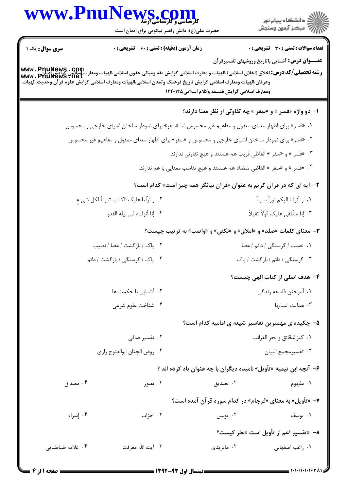| www.PnuNews.c<br><b>کارشتاسی و کارسناسی آزشد</b> |                                                                                                                                                                                                                                                                                |                                               |                                                                           |  |
|--------------------------------------------------|--------------------------------------------------------------------------------------------------------------------------------------------------------------------------------------------------------------------------------------------------------------------------------|-----------------------------------------------|---------------------------------------------------------------------------|--|
|                                                  | حضرت علی(ع): دانش راهبر نیکویی برای ایمان است                                                                                                                                                                                                                                  |                                               | ر<br>دانشڪاه پيام نور)<br>ا∛ مرڪز آزمون وسنڊش                             |  |
| <b>سری سوال :</b> یک ۱                           | <b>زمان آزمون (دقیقه) : تستی : 60 ٪ تشریحی : 0</b>                                                                                                                                                                                                                             |                                               | <b>تعداد سوالات : تستی : 30 ٪ تشریحی : 0</b>                              |  |
|                                                  | www . PnuNews . COm<br>  الميات اخلاق (اخلاق اسلامي)،الهيات و معارف اسلامي گرايش فقه ومباني حقوق اسلامي،الهيات ومعارف المعلي الله عنه<br>  www . PnuNews . net<br>وعرفان،الهيات ومعارف اسلامي گرايش تاريخ فرهنگ وتمدن اسلامي،الهيات ومعارف اسلامي گرايش علوم قرآن وحديث،الهيات | ومعارف اسلامي گرايش فلسفه وكلام اسلامي1۲۲۰۱۴۵ | <b>عنـــوان درس:</b> آشنایی باتاریخ وروشهای تفسیرقرآن                     |  |
|                                                  |                                                                                                                                                                                                                                                                                |                                               | <b>۱- دو واژه «فسر » و «سفر » چه تفاوتی از نظر معنا دارند؟</b>            |  |
|                                                  | ۰۱ «فسر» برای اظهار معنای معقول و مفاهیم غیر محسوس اما «سفر» برای نمودار ساختن اشیای خارجی و محسوس                                                                                                                                                                             |                                               |                                                                           |  |
|                                                  | ۰۲ «فسر» برای نمودار ساختن اشیای خارجی و محسوس و «سفر» برای اظهار معنای معقول و مفاهیم غیر محسوس                                                                                                                                                                               |                                               |                                                                           |  |
|                                                  |                                                                                                                                                                                                                                                                                |                                               | ۰۳ «فسر » و «سفر » الفاظي قريب هم هستند و هيچ تفاوتي ندارند.              |  |
|                                                  |                                                                                                                                                                                                                                                                                |                                               | ۰۴ «فسر » و «سفر » الفاظی متضاد هم هستند و هیچ تناسب معنایی با هم ندارند. |  |
|                                                  |                                                                                                                                                                                                                                                                                |                                               | ۲- آیه ای که در قرآن کریم به عنوان «قرآن بیانگر همه چیز است» کدام است؟    |  |
|                                                  | ۰۲ و نزّلنا علیک الکتاب تبیاناً لکل شی ءِ                                                                                                                                                                                                                                      |                                               | ٠١. و أنزلنا اليكم نوراً مبيناً                                           |  |
|                                                  | ۰۴ إنا أنزلناه في ليله القدر                                                                                                                                                                                                                                                   |                                               | ۰۳ إنا سَنُلقى عليک قولاً ثقيلاً                                          |  |
|                                                  |                                                                                                                                                                                                                                                                                |                                               | <b>۳</b> - معنای کلمات «صلد» و «املاق» و «نکص» و «واصب» به ترتیب چیست؟    |  |
|                                                  | ٢. پاک / بازگشت / عصا / نصيب                                                                                                                                                                                                                                                   |                                               | ۰۱ نصیب / گرسنگی / دائم / عصا                                             |  |
|                                                  | ۴. پاک / گرسنگی / بازگشت / دائم                                                                                                                                                                                                                                                |                                               | ۰۳ گرسنگی / دائم / بازگشت / پاک                                           |  |
|                                                  |                                                                                                                                                                                                                                                                                |                                               | ۴– هدف اصلی از کتاب الهی چیست؟                                            |  |
|                                                  | ۰۲ آشنایی با <i>ح</i> کمت ها                                                                                                                                                                                                                                                   |                                               | ٠١. آموختن فلسفه زندگي                                                    |  |
|                                                  | ۰۴ شناخت علوم شرعي                                                                                                                                                                                                                                                             |                                               | ۰۳ هدایت انسانها                                                          |  |
|                                                  |                                                                                                                                                                                                                                                                                |                                               | ۵– چکیده ی مهمترین تفاسیر شیعه ی امامیه کدام است؟                         |  |
|                                                  | ۰۲ تفسیر صافی                                                                                                                                                                                                                                                                  |                                               | ٠١ كنزالدقائق وبحر الغرائب                                                |  |
|                                                  | ۰۴ روض الجنان ابوالفتوح رازى                                                                                                                                                                                                                                                   |                                               | ٠٣ تفسيرمجمع البيان                                                       |  |
|                                                  |                                                                                                                                                                                                                                                                                |                                               | ۶–  آنچه ابن تیمیه «تأویل» نامیده دیگران با چه عنوان یاد کرده اند ؟       |  |
| ۰۴ مصداق                                         | ۰۳ تصور                                                                                                                                                                                                                                                                        | ۰۲ تصدیق                                      | ۰۱ مفهوم                                                                  |  |
|                                                  |                                                                                                                                                                                                                                                                                |                                               | ۷- «تأویل» به معنای «فرجام» در کدام سوره قرآن آمده است؟                   |  |
| ۰۴ إسراء                                         | ۰۳ احزاب                                                                                                                                                                                                                                                                       | ۰۲ يونس                                       | ۰۱ يوسف                                                                   |  |
|                                                  |                                                                                                                                                                                                                                                                                |                                               | ٨–  «تفسير اعم از تأويل است »نظر كيست؟                                    |  |
| ۰۴ علامه طباطبايي                                | ۰۳ آيت الله معرفت                                                                                                                                                                                                                                                              | ۰۲ ماتریدی                                    | ۰۱ راغب اصفهانی                                                           |  |
|                                                  |                                                                                                                                                                                                                                                                                |                                               |                                                                           |  |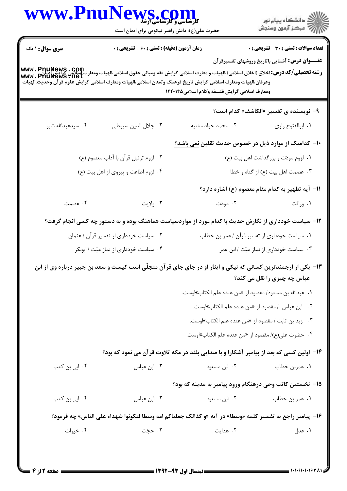|                        | WWW.PnuNews.com<br>حضرت علی(ع): دانش راهبر نیکویی برای ایمان است                                                                                                                                                                                       |                                                                                         | گ دانشگاه پيام نور<br>//<br>//                                                                        |
|------------------------|--------------------------------------------------------------------------------------------------------------------------------------------------------------------------------------------------------------------------------------------------------|-----------------------------------------------------------------------------------------|-------------------------------------------------------------------------------------------------------|
| <b>سری سوال : ۱ یک</b> | <b>زمان آزمون (دقیقه) : تستی : 60 ٪ تشریحی : 0</b>                                                                                                                                                                                                     |                                                                                         | <b>تعداد سوالات : تستی : 30 ٪ تشریحی : 0</b><br><b>عنـــوان درس:</b> آشنایی باتاریخ وروشهای تفسیرقرآن |
|                        | رشته تحصیلی/کد درس:اخلاق (اخلاق اسلامی)،الهیات و معارف اسلامی گرایش فقه ومبانی حقوق اسلامی،الهیات ومعارف اسلامی<br>Www . PhuNews . net<br>وعرفان،الهيات ومعارف اسلامي گرايش تاريخ فرهنگ وتمدن اسلامي،الهيات ومعارف اسلامي گرايش علوم قرآن وحديث،الهيات | ومعارف اسلامى گرايش فلسفه وكلام اسلامى1۲۲۰۱۴۵                                           |                                                                                                       |
|                        |                                                                                                                                                                                                                                                        |                                                                                         | ۹- نویسنده ی تفسیر «الکاشف» کدام است؟                                                                 |
| ۰۴ سیدعبدالله شبر      | ٠٣ جلال الدين سيوطى                                                                                                                                                                                                                                    | ۰۲ محمد جواد مغنيه                                                                      | ٠١. ابوالفتوح رازي                                                                                    |
|                        |                                                                                                                                                                                                                                                        | ۱۰– کدامیک از موارد ذیل در خصوص حدیث ثقلین نمی باشد؟                                    |                                                                                                       |
|                        | ۰۲ لزوم ترتيل قرآن با آداب معصوم (ع)                                                                                                                                                                                                                   |                                                                                         | ۰۱ لزوم مودّت و بزرگداشت اهل بيت (ع)                                                                  |
|                        | ۰۴ لزوم اطاعت و پیروی از اهل بیت (ع)                                                                                                                                                                                                                   |                                                                                         | ۰۳ عصمت اهل بيت (ع) از گناه و خطا                                                                     |
|                        |                                                                                                                                                                                                                                                        |                                                                                         | 11- آیه تطهیر به کدام مقام معصوم (ع) اشاره دارد؟                                                      |
| ۰۴ عصمت                | ۰۳ ولايت                                                                                                                                                                                                                                               | ۰۲ مودّت                                                                                | ۰۱ وراثت                                                                                              |
|                        | ۱۲- سیاست خودداری از نگارش حدیث با کدام مورد از مواردسیاست هماهنگ بوده و به دستور چه کسی انجام گرفت؟                                                                                                                                                   |                                                                                         |                                                                                                       |
|                        | ۰۲ سیاست خودداری از تفسیر قرآن / عثمان                                                                                                                                                                                                                 |                                                                                         | ٠١ سياست خودداري از تفسير قرآن / عمر بن خطاب                                                          |
|                        | ۰۴ سیاست خودداری از نماز میّت / ابوبکر                                                                                                                                                                                                                 |                                                                                         | ۰۳ سیاست خودداری از نماز میّت / ابن عمر                                                               |
|                        | ۱۳- یکی از ارجمندترین کسانی که نیکی و ایثار او در جای جای قرآن متجلّی است کیست و سعد بن جبیر درباره وی از ابن                                                                                                                                          |                                                                                         | عباس چه چیزی را نقل می کند؟                                                                           |
|                        |                                                                                                                                                                                                                                                        | ٠١ عبدالله بن مسعود/ مقصود از «من عنده علم الكتاب»اوست.                                 |                                                                                                       |
|                        |                                                                                                                                                                                                                                                        | ۰۲ ابن عباس /مقصود از «من عنده علم الكتاب»اوست.                                         |                                                                                                       |
|                        |                                                                                                                                                                                                                                                        | ۰۳ زيد بن ثابت / مقصود از «من عنده علم الكتاب»اوست.                                     |                                                                                                       |
|                        |                                                                                                                                                                                                                                                        | ۰۴ حضرت على(ع)/ مقصود از «من عنده علم الكتاب»اوست.                                      |                                                                                                       |
|                        |                                                                                                                                                                                                                                                        | ۱۴– اولین کسی که بعد از پیامبر آشکارا و با صدایی بلند در مکه تلاوت قرآن می نمود که بود؟ |                                                                                                       |
| ۰۴ ابی بن کعب          | ۰۳ ابن عباس                                                                                                                                                                                                                                            | ۰۲ ابن مسعود                                                                            | ٠١ عمربن خطاب                                                                                         |
|                        |                                                                                                                                                                                                                                                        | ۱۵– نخستین کاتب وحی درهنگام ورود پیامبر به مدینه که بود؟                                |                                                                                                       |
| ۰۴ ابي بن كعب          | ۰۳ ابن عباس                                                                                                                                                                                                                                            | ۰۲ ابن مسعود                                                                            | ٠١ عمر بن خطاب                                                                                        |
|                        | ۱۶− پیامبر راجع به تفسیر کلمه «وسطا» در آیه «و کذالک جعلناکم امه وسطا لتکونوا شهداء علی الناس» چه فرمود؟                                                                                                                                               |                                                                                         |                                                                                                       |
| ۰۴ خیرات               | ۰۳ حجّت                                                                                                                                                                                                                                                | ۰۲ هدایت                                                                                | ۰۱ عدل                                                                                                |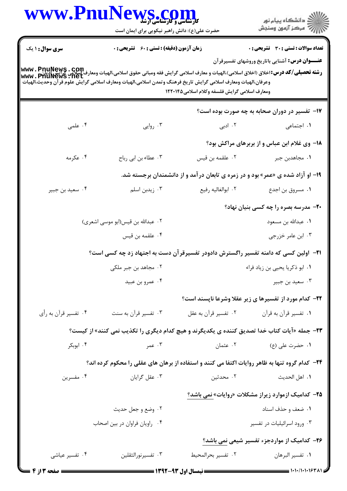| www.Pnul                                                                                                                                                                                                                                                                                 | WS.COM<br>حضرت علی(ع): دانش راهبر نیکویی برای ایمان است                                             |                                               | ڪ دانشڪاه پيا <sub>م</sub> نور<br>∕7 مرڪز آزمون وسنڊش                                          |
|------------------------------------------------------------------------------------------------------------------------------------------------------------------------------------------------------------------------------------------------------------------------------------------|-----------------------------------------------------------------------------------------------------|-----------------------------------------------|------------------------------------------------------------------------------------------------|
| <b>سری سوال : ۱ یک</b><br><b>رشته تحصيلي/كد درس:</b> اخلاق (اخلاق اسلامي)،الهيات و معارف اسلامي گرايش فقه ومباني حقوق اسلامي،الهيات ومعارف اسلامي<br>WWW . PHUNEWS . Net<br>وعرفان،الهيات ومعارف اسلامي گرايش تاريخ فرهنگ وتمدن اسلامي،الهيات ومعارف اسلامي گرايش علوم قرآن وحديث،الهيات | <b>زمان آزمون (دقیقه) : تستی : 60 گشریحی : 0</b>                                                    | ومعارف اسلامي گرايش فلسفه وكلام اسلامي1۲۲۰۱۴۵ | تعداد سوالات : تستي : 30 ٪ تشريحي : 0<br><b>عنـــوان درس:</b> آشنایی باتاریخ وروشهای تفسیرقرآن |
|                                                                                                                                                                                                                                                                                          |                                                                                                     |                                               | ۱۷- تفسیر در دوران صحابه به چه صورت بوده است؟                                                  |
| ۰۴ علمی                                                                                                                                                                                                                                                                                  | ۰۳ روایی                                                                                            | ۰۲ ادبی                                       | ۰۱ اجتما <i>عی</i>                                                                             |
|                                                                                                                                                                                                                                                                                          |                                                                                                     |                                               | 18- وی غلام ابن عباس و از بربرهای مراکش بود؟                                                   |
| ۰۴ عکرمه                                                                                                                                                                                                                                                                                 | ۰۳ عطاء بن ابي رباح                                                                                 | ۰۲ علقمه بن قیس                               | ٠١. مجاهدبن جبر                                                                                |
|                                                                                                                                                                                                                                                                                          |                                                                                                     |                                               | ۱۹- او آزاد شده ی «عمر» بود و در زمره ی تابعان درآمد و از دانشمندان برجسته شد.                 |
| ۰۴ سعید بن جبیر                                                                                                                                                                                                                                                                          | ۰۳ زیدبن اسلم                                                                                       | ٠٢ ابوالغاليه رفيع                            | ٠١ مسروق بن اجدع                                                                               |
|                                                                                                                                                                                                                                                                                          |                                                                                                     |                                               | <b>۲۰</b> - مدرسه بصره را چه کسی بنیان نهاد؟                                                   |
|                                                                                                                                                                                                                                                                                          | ۰۲ عبدالله بن قیس(ابو موسی اشعری)                                                                   |                                               | ٠١ عبدالله بن مسعود                                                                            |
|                                                                                                                                                                                                                                                                                          | ۰۴ علقمه بن قيس                                                                                     |                                               | ۰۳ ابن عامر خزرجي                                                                              |
|                                                                                                                                                                                                                                                                                          | <b>۲۱</b> - آولین کسی که دامنه تفسیر راگسترش دادودر تفسیرقر آن دست به اجتهاد زد چه کسی است؟         |                                               |                                                                                                |
|                                                                                                                                                                                                                                                                                          | ۰۲ مجاهد بن جبر ملکی                                                                                |                                               | ۰۱ ابو ذکریا یحیی بن زیاد فراء                                                                 |
|                                                                                                                                                                                                                                                                                          | ۰۴ عمرو بن عبيد                                                                                     |                                               | ۰۳ سعيد بن جبير                                                                                |
|                                                                                                                                                                                                                                                                                          |                                                                                                     |                                               | ۲۲- کدام مورد از تفسیرها ی زیر عقلا وشرعا ناپسند است؟                                          |
| ۰۴ تفسیر قرأن به رأي                                                                                                                                                                                                                                                                     | ۰۳ تفسیر قرآن به سنت                                                                                | ۰۲ تفسیر قرآن به عقل                          | ۰۱ تفسیر قرآن به قرآن                                                                          |
|                                                                                                                                                                                                                                                                                          | <b>۲۳</b> - جمله «آیات کتاب خدا تصدیق کننده ی یکدیگرند و هیچ کدام دیگری را تکذیب نمی کنند» از کیست؟ |                                               |                                                                                                |
| ۰۴ ابوبکر                                                                                                                                                                                                                                                                                | ۰۳ عمر                                                                                              | ۰۲ عثمان                                      | ۰۱ حضرت على (ع)                                                                                |
|                                                                                                                                                                                                                                                                                          | ۲۴- کدام گروه تنها به ظاهر روایات اکتفا می کنند و استفاده از برهان های عقلی را محکوم کرده اند؟      |                                               |                                                                                                |
| ۰۴ مفسرين                                                                                                                                                                                                                                                                                | ۰۳ عقل گرایان                                                                                       | ۰۲ محدثین                                     | <b>١.</b> اهل الحديث                                                                           |
|                                                                                                                                                                                                                                                                                          |                                                                                                     |                                               | ۲۵- کدامیک ازموارد زیراز مشکلات «روایات» نمی باشد؟                                             |
|                                                                                                                                                                                                                                                                                          | ۰۲ وضع و جعل حديث                                                                                   |                                               | ٠١ ضعف و حذف اسناد                                                                             |
|                                                                                                                                                                                                                                                                                          | ۰۴ راویان فراوان در بین اصحاب                                                                       |                                               | ۰۳ ورود اسرائیلیات در تفسیر                                                                    |
|                                                                                                                                                                                                                                                                                          |                                                                                                     |                                               | ۲۶- کدامیک از مواردجزء تفسیر شیعی نمی باشد؟                                                    |
| ۰۴ تفسیر عیاشی                                                                                                                                                                                                                                                                           | ۰۳ تفسيرنورالثقلين                                                                                  | ٠٢ تفسير بحرالمحيط                            | ٠١. تفسير البرهان                                                                              |